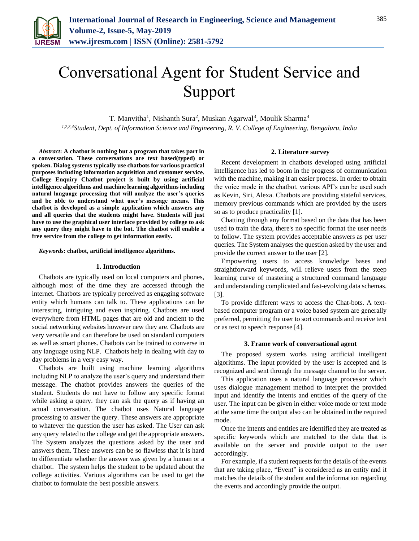

# Conversational Agent for Student Service and Support

T. Manvitha<sup>1</sup>, Nishanth Sura<sup>2</sup>, Muskan Agarwal<sup>3</sup>, Moulik Sharma<sup>4</sup> *1,2,3,4Student, Dept. of Information Science and Engineering, R. V. College of Engineering, Bengaluru, India*

*Abstract***: A chatbot is nothing but a program that takes part in a conversation. These conversations are text based(typed) or spoken. Dialog systems typically use chatbots for various practical purposes including information acquisition and customer service. College Enquiry Chatbot project is built by using artificial intelligence algorithms and machine learning algorithms including natural language processing that will analyze the user's queries and be able to understand what user's message means. This chatbot is developed as a simple application which answers any and all queries that the students might have. Students will just have to use the graphical user interface provided by college to ask any query they might have to the bot. The chatbot will enable a free service from the college to get information easily.**

# *Keywords***: chatbot, artificial intelligence algorithms.**

#### **1. Introduction**

Chatbots are typically used on local computers and phones, although most of the time they are accessed through the internet. Chatbots are typically perceived as engaging software entity which humans can talk to. These applications can be interesting, intriguing and even inspiring. Chatbots are used everywhere from HTML pages that are old and ancient to the social networking websites however new they are. Chatbots are very versatile and can therefore be used on standard computers as well as smart phones. Chatbots can be trained to converse in any language using NLP. Chatbots help in dealing with day to day problems in a very easy way.

Chatbots are built using machine learning algorithms including NLP to analyze the user's query and understand their message. The chatbot provides answers the queries of the student. Students do not have to follow any specific format while asking a query. they can ask the query as if having an actual conversation. The chatbot uses Natural language processing to answer the query. These answers are appropriate to whatever the question the user has asked. The User can ask any query related to the college and get the appropriate answers. The System analyzes the questions asked by the user and answers them. These answers can be so flawless that it is hard to differentiate whether the answer was given by a human or a chatbot. The system helps the student to be updated about the college activities. Various algorithms can be used to get the chatbot to formulate the best possible answers.

### **2. Literature survey**

Recent development in chatbots developed using artificial intelligence has led to boom in the progress of communication with the machine, making it an easier process. In order to obtain the voice mode in the chatbot, various API's can be used such as Kevin, Siri, Alexa. Chatbots are providing stateful services, memory previous commands which are provided by the users so as to produce practicality [1].

Chatting through any format based on the data that has been used to train the data, there's no specific format the user needs to follow. The system provides acceptable answers as per user queries. The System analyses the question asked by the user and provide the correct answer to the user [2].

Empowering users to access knowledge bases and straightforward keywords, will relieve users from the steep learning curve of mastering a structured command language and understanding complicated and fast-evolving data schemas. [3].

To provide different ways to access the Chat-bots. A textbased computer program or a voice based system are generally preferred, permitting the user to sort commands and receive text or as text to speech response [4].

#### **3. Frame work of conversational agent**

The proposed system works using artificial intelligent algorithms. The input provided by the user is accepted and is recognized and sent through the message channel to the server.

This application uses a natural language processor which uses dialogue management method to interpret the provided input and identify the intents and entities of the query of the user. The input can be given in either voice mode or text mode at the same time the output also can be obtained in the required mode.

Once the intents and entities are identified they are treated as specific keywords which are matched to the data that is available on the server and provide output to the user accordingly.

For example, if a student requests for the details of the events that are taking place, "Event" is considered as an entity and it matches the details of the student and the information regarding the events and accordingly provide the output.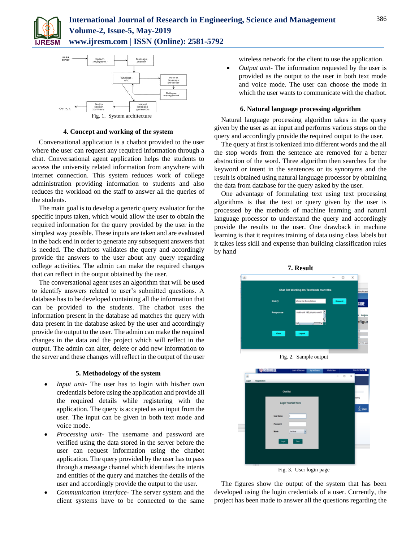



# **4. Concept and working of the system**

Conversational application is a chatbot provided to the user where the user can request any required information through a chat. Conversational agent application helps the students to access the university related information from anywhere with internet connection. This system reduces work of college administration providing information to students and also reduces the workload on the staff to answer all the queries of the students.

The main goal is to develop a generic query evaluator for the specific inputs taken, which would allow the user to obtain the required information for the query provided by the user in the simplest way possible. These inputs are taken and are evaluated in the back end in order to generate any subsequent answers that is needed. The chatbots validates the query and accordingly provide the answers to the user about any query regarding college activities. The admin can make the required changes that can reflect in the output obtained by the user.

The conversational agent uses an algorithm that will be used to identify answers related to user's submitted questions. A database has to be developed containing all the information that can be provided to the students. The chatbot uses the information present in the database ad matches the query with data present in the database asked by the user and accordingly provide the output to the user. The admin can make the required changes in the data and the project which will reflect in the output. The admin can alter, delete or add new information to the server and these changes will reflect in the output of the user

## **5. Methodology of the system**

- *Input unit-* The user has to login with his/her own credentials before using the application and provide all the required details while registering with the application. The query is accepted as an input from the user. The input can be given in both text mode and voice mode.
- *Processing unit-* The username and password are verified using the data stored in the server before the user can request information using the chatbot application. The query provided by the user has to pass through a message channel which identifies the intents and entities of the query and matches the details of the user and accordingly provide the output to the user.
- *Communication interface-* The server system and the client systems have to be connected to the same

wireless network for the client to use the application.

• *Output unit*-The information requested by the user is provided as the output to the user in both text mode and voice mode. The user can choose the mode in which the user wants to communicate with the chatbot.

# **6. Natural language processing algorithm**

Natural language processing algorithm takes in the query given by the user as an input and performs various steps on the query and accordingly provide the required output to the user.

The query at first is tokenized into different words and the all the stop words from the sentence are removed for a better abstraction of the word. Three algorithm then searches for the keyword or intent in the sentences or its synonyms and the result is obtained using natural language processor by obtaining the data from database for the query asked by the user.

One advantage of formulating text using text processing algorithms is that the text or query given by the user is processed by the methods of machine learning and natural language processor to understand the query and accordingly provide the results to the user. One drawback in machine learning is that it requires training of data using class labels but it takes less skill and expense than building classification rules by hand







Fig. 3. User login page

The figures show the output of the system that has been developed using the login credentials of a user. Currently, the project has been made to answer all the questions regarding the